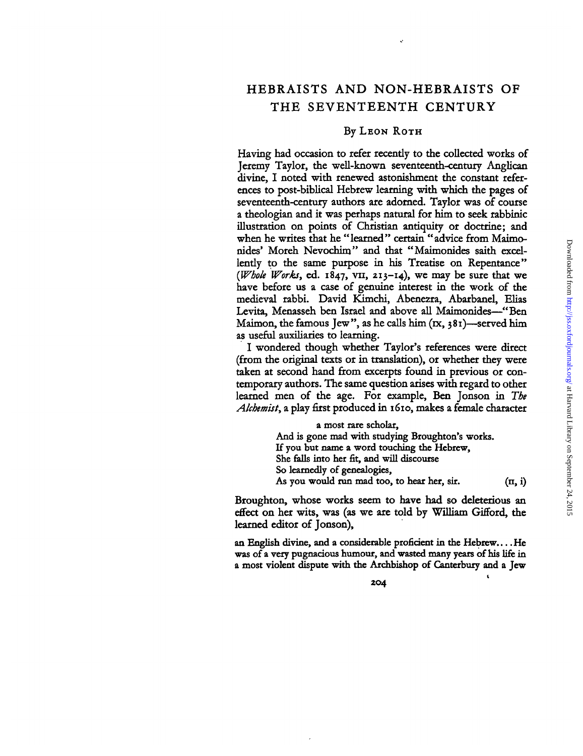### By LEON ROTH

Having had occasion to refer recently to the collected works of Jeremy Taylor, the well-known seventeenth-century Anglican divine, I noted with renewed astonishment the constant references to post-biblical Hebrew learning with which the pages of seventeenth-century authors are adorned. Taylor was of course a theologian and it was perhaps natural for him to seek rabbinic illustration on points of Christian antiquity or doctrine; and when he writes that he "learned" certain "advice from Maimonides' Moreh Nevochim" and that "Maimonides saith excellently to the same purpose in his Treatise on Repentance" *{Whole Works,* ed. 1847, vn, 213-14), we may be sure that we have before us a case of genuine interest in the work of the medieval rabbi. David Kimchi, Abenezra, Abarbanel, Elias Levita, Menasseh ben Israel and above all Maimonides—"Ben Maimon, the famous Jew", as he calls him  $(rx, 381)$ —served him as useful auxiliaries to learning.

I wondered though whether Taylor's references were direct (from the original texts or in translation), or whether they were taken at second hand from excerpts found in previous or contemporary authors. The same question arises with regard to other learned men of the age. For example, Ben Jonson in *The Alchemist,* a play first produced in 1610, makes a female character

> a most rare scholar, And is gone mad with studying Broughton's works. If you but name a word touching the Hebrew, She falls into her fit, and will discourse So learnedly of genealogies, As you would run mad too, to hear her, sir.  $(n, i)$

Broughton, whose works seem to have had so deleterious an effect on her wits, was (as we are told by William Gifford, the learned editor of Jonson),

an English divine, and a considerable proficient in the Hebrew... .He was of a very pugnacious humour, and wasted many years of his life in a most violent dispute with the Archbishop of Canterbury and a Jew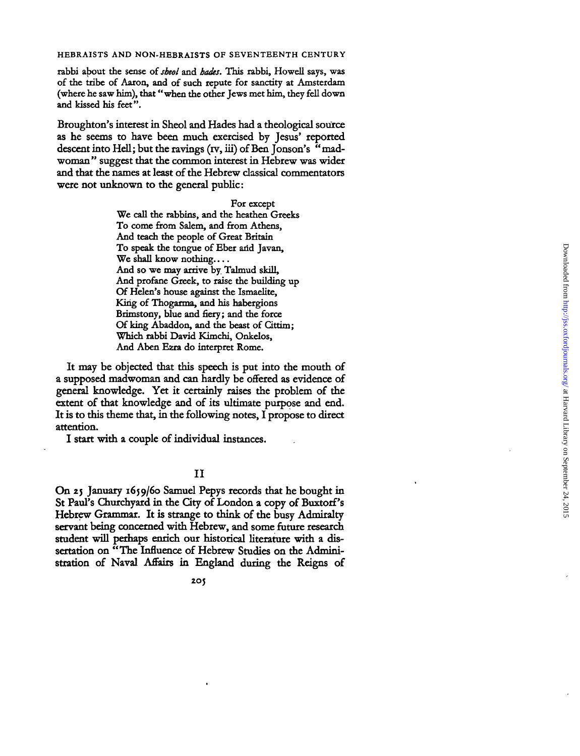rabbi about the sense of *sheol* and *hades*. This rabbi, Howell says, was of the tribe of Aaron, and of such repute for sanctity at Amsterdam (wher e h e saw him) , tha t "whe n th e othe r Jew s me t him , the y fell dow n an d kisse d hi s feet" .

Broughton' s interes t i n Sheo l an d Hade s ha d a theologica l sourc e a s h e seem s t o hav e bee n muc h exercise d b y Jesus' reporte d descent into Hell; but the ravings (rv, iii) of Ben Jonson's "madwoman" suggest that the common interest in Hebrew was wider an d tha t th e name s a t leas t o f th e Hebre w classica l commentator s were not unknown to the general public:

> Fo r excep t W e cal l th e rabbins , an d th e heathe n Greek s T o com e from Salem , an d fro m Athens , An d teac h th e peopl e o f Grea t Britai n To speak the tongue of Eber and Javan, We shall know nothing.... An d s o w e may arriv e b y Talmu d skill , An d profan e Greek , t o rais e th e buildin g u p O f Helen' s hous e agains t th e Ismaelite , King of Thogarma, and his habergions Brimstony, blue and fiery; and the force Of king Abaddon, and the beast of Cittim; Whic h rabb i Davi d Kimchi , Onkelos , An d Abe n Ezr a d o interpre t Rome .

It may be objected that this speech is put into the mouth of a suppose d madwoma n an d ca n hardl y b e offere d a s evidenc e o f genera l knowledge . Ye t i t certainl y raise s th e proble m o f th e extent of that knowledge and of its ultimate purpose and end. It is to this theme that, in the following notes, I propose to direct attention .

I star t wit h a coupl e o f individua l instances .

## I I

On 25 January 1659/60 Samuel Pepys records that he bought in St Paul's Churchyard in the City of London a copy of Buxtorf's Hebre w Grammar . I t i s strang e t o thin k o f th e bus y Admiralt y servan t bein g concerne d wit h Hebrew , an d som e futur e researc h studen t wil l perhap s enric h ou r historica l literatur e wit h a dis sertatio n o n "Th e Influenc e o f Hebre w Studie s o n th e Admini stratio n o f Nava l Affairs i n Englan d durin g th e Reign s o f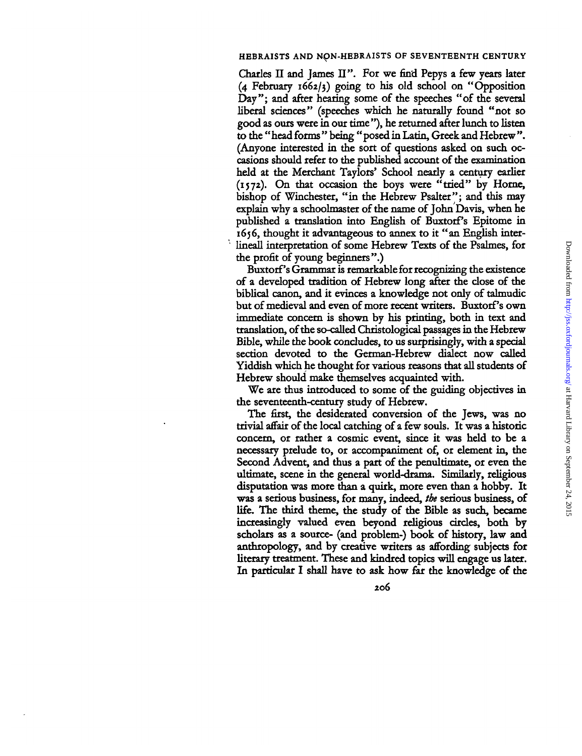Charles II and James II". For we find Pepys a few years later (4 February 1662/3) going to his old school on "Opposition Day"; and after hearing some of the speeches "of the several liberal sciences" (speeches which he naturally found "not so good as ours were in our time "), he returned after lunch to listen to the " head forms " being " posed in Latin, Greek and Hebrew ". (Anyone interested in the sort of questions asked on such occasions should refer to the published account of the examination held at the Merchant Taylors' School nearly a century earlier (1572). On that occasion the boys were "tried" by Home, bishop of Winchester, "in the Hebrew Psalter"; and this may explain why a schoolmaster of the name of John Davis, when he published a translation into English of Buxtorf's Epitome in 1656, thought it advantageous to annex to it "an English interlineall interpretation of some Hebrew Texts of the Psalmes, for the profit of young beginners".)

Buxtorf's Grammar is remarkable for recognizing the existence of a developed tradition of Hebrew long after the close of the biblical canon, and it evinces a knowledge not only of talmudic but of medieval and even of more recent writers. Buxtorf's own immediate concern is shown by his printing, both in text and translation, of the so-called Christological passages in the Hebrew Bible, while the book concludes, to us surprisingly, with a special section devoted to the German-Hebrew dialect now called Yiddish which he thought for various reasons that all students of Hebrew should make themselves acquainted with.

We are thus introduced to some of the guiding objectives in the seventeenth-century study of Hebrew.

The first, the desiderated conversion of the Jews, was no trivial affair of the local catching of a few souls. It was a historic concern, or rather a cosmic event, since it was held to be a necessary prelude to, or accompaniment of, or element in, the Second Advent, and thus a part of the penultimate, or even the ultimate, scene in the general world-drama. Similarly, religious disputation was more than a quirk, more even than a hobby. It was a serious business, for many, indeed, *the* serious business, of life. The third theme, the study of the Bible as such, became increasingly valued even beyond religious circles, both by scholars as a source- (and problem-) book of history, law and anthropology, and by creative writers as affording subjects for literary treatment. These and kindred topics will engage us later. In particular I shall have to ask how far the knowledge of the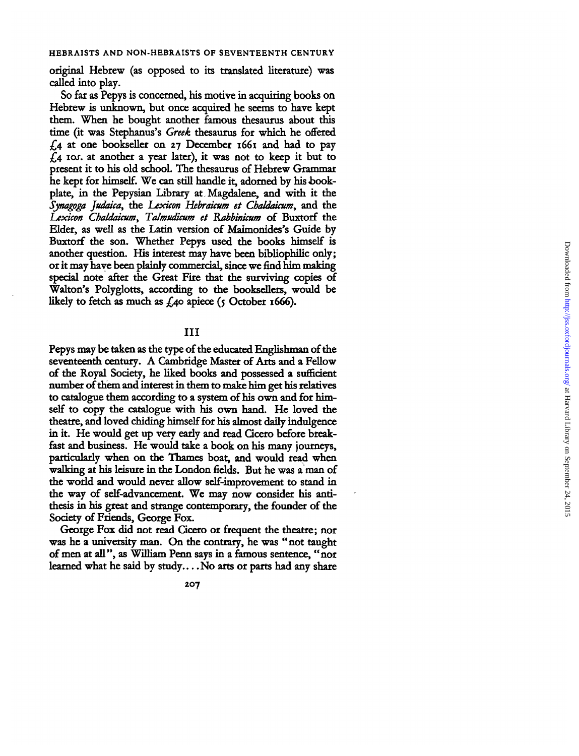origina l Hebre w (a s oppose d t o it s translate d literature ) wa s calle d int o play .

S o far a s Pepy s i s concerned , hi s motiv e i n acquirin g book s o n Hebrew is unknown, but once acquired he seems to have kept them. When he bought another famous thesaurus about this time (it was Stephanus's Greek thesaurus for which he offered *£4* a t on e bookselle r o n 27 Decembe r 166 1 an d ha d t o pay  $f<sub>4</sub>$  ros. at another a year later), it was not to keep it but to present it to his old school. The thesaurus of Hebrew Grammar h e kep t fo r himself. W e can stil l handl e it , adorne d b y hi s *book*plate, in the Pepysian Library at Magdalene, and with it the *Synagoga Judaica,* th e *Lexicon Hebraicum et Chaldaicum,* an d th Lexicon Chaldaicum, Talmudicum et Rabbinicum of Buxtorf the Elder, as well as the Latin version of Maimonides's Guide by Buxtor f th e son . Whethe r Pepy s use d th e book s himsel f i s anothe r question . Hi s interes t may hav e bee n bibliophili c only ; o r i t may hav e bee n plainl y commercial , sinc e w e find hi m makin g special note after the Great Fire that the surviving copies of Walton's Polyglotts, according to the booksellers, would be likely to fetch as much as £40 apiece (5 October 1666).

## $\rm II$

Pepy s may b e take n a s th e typ e o f th e educate d Englishma n o f th e seventeenth century . A Cambridg e Maste r o f Art s an d a Fello w o f th e Roya l Society , h e like d book s an d possesse d a sufficient numbe r o f the m an d interes t i n the m t o mak e hi m ge t hi s relative s to catalogue them according to a system of his own and for himself to copy the catalogue with his own hand. He loved the theatre, and loved chiding himself for his almost daily indulgence in it. He would get up very early and read Cicero before breakfast and business. He would take a book on his many journeys. particularly when on the Thames boat, and would read when walking at his leisure in the London fields. But he was a man of the world and would never allow self-improvement to stand in the way of self-advancement. We may now consider his antithesis in his great and strange contemporary, the founder of the Society of Friends, George Fox.

George Fox did not read Cicero or frequent the theatre; nor was he a university man. On the contrary, he was "not taught of men at all", as William Penn says in a famous sentence, "nor learned what he said by study....No arts or parts had any share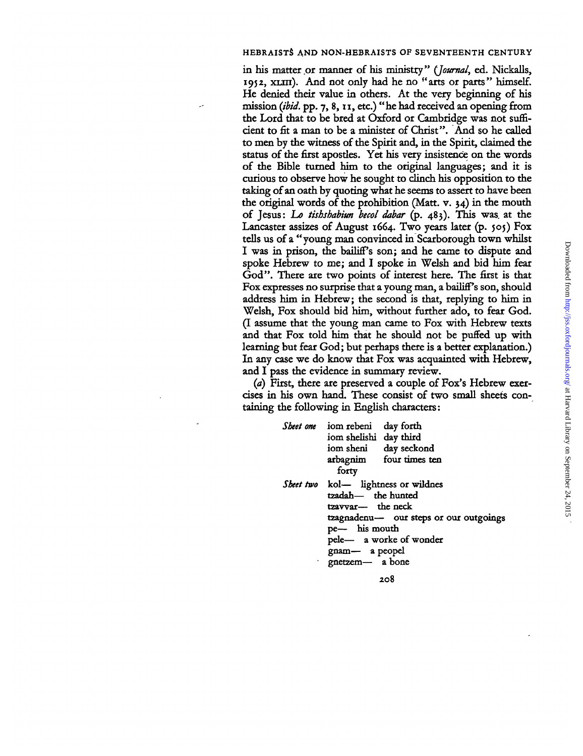in his matter or manner of his ministry" (Journal, ed. Nickalls, 1952, XLIII). And not only had he no "arts or parts" himself. He denied their value in others. At the very beginning of his mission *(ibid.* pp. 7, 8,11, etc.) "he had received an opening from the Lord that to be bred at Oxford or Cambridge was not sufficient to fit a man to be a minister of Christ". And so he called to men by the witness of the Spirit and, in the Spirit, claimed the status of the first apostles. Yet his very insistence on the words of the Bible turned him to the original languages; and it is curious to observe how he sought to clinch his opposition to the taking of an oath by quoting what he seems to assert to have been the original words of the prohibition (Matt. v.  $34$ ) in the mouth of Jesus: *La tishshabiun becol dabar* (p. 483). This was. at the Lancaster assizes of August 1664. Two years later  $(p. 505)$  Fox tells us of a "young man convinced in Scarborough town whilst I was in prison, the bailiff's son; and he came to dispute and spoke Hebrew to me; and I spoke in Welsh and bid him fear God". There are two points of interest here. The first is that Fox expresses no surprise that a young man, a bailiff's son, should address him in Hebrew; the second is that, replying to him in Welsh, Fox should bid him, without further ado, to fear God. (I assume that the young man came to Fox with Hebrew texts and that Fox told him that he should not be puffed up with learning but fear God; but perhaps there is a better explanation.) In any case we do know that Fox was acquainted with Hebrew, and I pass the evidence in summary review.

*(a)* First, there are preserved a couple of Fox's Hebrew exercises in his own hand. These consist of two small sheets containing the following in English characters:

| Sheet one iom rebeni<br>day forth<br>iom shelishi day third<br>iom sheni day seckond<br>arbagnim four times ten<br>forty                                                                                  |
|-----------------------------------------------------------------------------------------------------------------------------------------------------------------------------------------------------------|
| Sheet two kol- lightness or wildnes<br>tzadah- the hunted<br>tzavvar- the neck<br>tzagnadenu- our steps or our outgoings<br>pe- his mouth<br>pele- a worke of wonder<br>gnam- a peopel<br>gnetzem- a bone |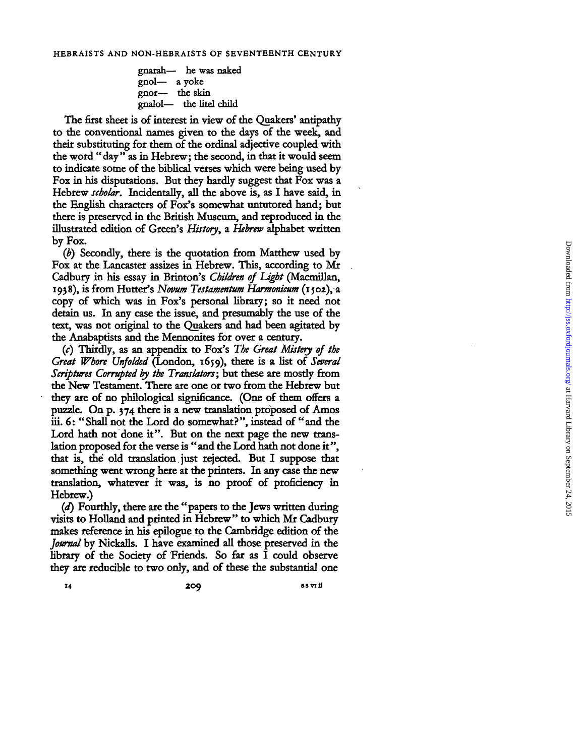gnarah— h e was naked gnol— a yoke gnor— th e skin gnalol— th e litel child

The first sheet is of interest in view of the Quakers' antipathy to the conventional names given to the days of the week, and thei r substitutin g fo r the m o f th e ordina l adjectiv e couple d wit h the word "day" as in Hebrew; the second, in that it would seem to indicate some of the biblical verses which were being used by Fox in his disputations. But they hardly suggest that Fox was a Hebrew scholar. Incidentally, all the above is, as I have said, in the English characters of Fox's somewhat untutored hand; but there is preserved in the British Museum, and reproduced in the illustrate d editio n o f Green' s *History,* a *Hebrew* alphabe t writte b y Fox .

(b) Secondly, there is the quotation from Matthew used by Fox at the Lancaster assizes in Hebrew. This, according to Mr Cadbury in his essay in Brinton's Children of Light (Macmillan, 1938), is from Hutter's *Novum Testamentum Harmonicum* (1502), a copy of which was in Fox's personal library; so it need not detain us. In any case the issue, and presumably the use of the text, was not original to the Quakers and had been agitated by th e Anabaptist s an d th e Mennonite s fo r ove r a century .

*(c)* Thirdly , a s a n appendi x t o Fox' s *The Great Mistety of the Great Whore Unfolded* (London , 1659) , ther e i s a lis t o f *Several* Scriptures Corrupted by the Translators; but these are mostly from the New Testament. There are one or two from the Hebrew but the y ar e o f n o philologica l significance . (On e o f the m offers a puzzle. On p. 374 there is a new translation proposed of Amos iii. 6: "Shall not the Lord do somewhat?", instead of "and the Lord hath not done it". But on the next page the new translation proposed for the verse is "and the Lord hath not done it". that is, the old translation just rejected. But I suppose that something went wrong here at the printers. In any case the new translation, whatever it was, is no proof of proficiency in Hebrew. )

*(d)* Fourthly , ther e ar e th e "paper s t o th e Jew s writte n durin g visits to Holland and printed in Hebrew" to which Mr Cadbury make s referenc e i n hi s epilogu e t o th e Cambridg e editio n o f th e Journal by Nickalls. I have examined all those preserved in the library of the Society of Friends. So far as I could observe they are reducible to two only, and of these the substantial one

**14 20**

**9 88 vi ii**  $\frac{1}{2}$  88 vi ii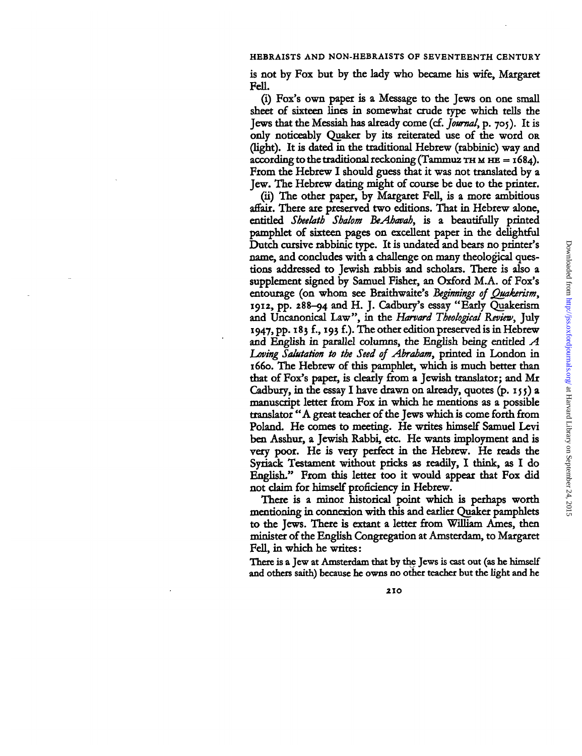is not by Fox but by the lady who became his wife, Margaret FelL

(i) Fox's own paper is a Message to the Jews on one small sheet of sixteen lines in somewhat crude type which tells the Jews that the Messiah has already come (cf. *Journal,* p. 705). It is only noticeably Quaker by its reiterated use of the word OR (light). It is dated in the traditional Hebrew (rabbinic) way and according to the traditional reckoning (Tammuz THMHHE =  $1684$ ). From the Hebrew I should guess that it was not translated by a Jew. The Hebrew dating might of course be due to the printer.

(ii) The other paper, by Margaret Fell, is a more ambitious affair. There are preserved two editions. That in Hebrew alone, entitled *Sheelatb Shalom BeAbavab,* is a beautifully printed pamphlet of sixteen pages on excellent paper in the delightful Dutch cursive rabbinic type. It is undated and bears no printer's name, and concludes with a challenge on many theological questions addressed to Jewish rabbis and scholars. There is also a supplement signed by Samuel Fisher, an Oxford M.A. of Fox's entourage (on whom see Braithwaite's *Beginnings of Quakerism,* 1912, pp. 288-94 and H. J. Cadbury's essay "Early Quakerism and Uncanonical Law", in the *Harvard Theological Review,* July 1947, pp. 183 £, 193 f.). The other edition preserved is in Hebrew and English in parallel columns, the English being entitled *A Laving Salutation to the Seed of Abraham,* printed in London in 1660. The Hebrew of this pamphlet, which is much better than that of Fox's paper, is clearly from a Jewish translator; and Mr Cadbury, in the essay I have drawn on already, quotes  $(p, 155)$  a manuscript letter from Fox in which he mentions as a possible translator "A great teacher of the Jews which is come forth from Poland. He comes to meeting. He writes himself Samuel Levi ben Asshur, a Jewish Rabbi, etc. He wants imployment and is very poor. He is very perfect in the Hebrew. He reads the Syriack Testament without pricks as readily, I think, as I do English." From this letter too it would appear that Fox did not *claim* for himself proficiency in Hebrew.

There is a minor historical point which is perhaps worth mentioning in connexion with this and earlier Quaker pamphlets to the Jews. There is extant a letter from William Ames, then minister of the English Congregation at Amsterdam, to Margaret Fell, in which he writes:

There is a Jew at Amsterdam that by the Jews is cast out (as he himself and others saith) because he owns no other teacher but the light and he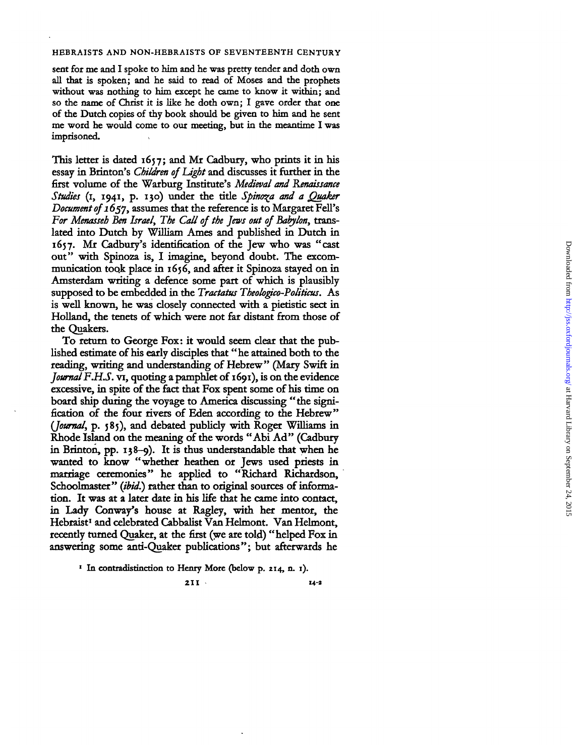sent for me and I spoke to him and he was pretty tender and doth own al l tha t i s spoken ; an d h e sai d t o rea d o f Mose s an d th e prophet s without was nothing to him except he came to know it within; and so the name of Christ it is like he doth own; I gave order that one of the Dutch copies of thy book should be given to him and he sent me word he would come to our meeting, but in the meantime I was imprisoned .

This letter is dated 1657; and Mr Cadbury, who prints it in his essay in Brinton's *Children of Light* and discusses it further in the first volum e o f th e Warbur g Institute' s *Medieval and Renaissance* Studies (1, 1941, p. 130) under the title Spinoza and a Quaker Document of 1657, assumes that the reference is to Margaret Fell's *For Menasseb Ben Israel, The Call of the Jews out of Babylon,* trans lated into Dutch by William Ames and published in Dutch in 1657. Mr Cadbury's identification of the Jew who was "cast out" with Spinoza is, I imagine, beyond doubt. The excommunication took place in 1656, and after it Spinoza stayed on in Amsterdam writing a defence some part of which is plausibly supposed to be embedded in the *Tractatus Theologico-Politicus*. As is well known, he was closely connected with a pietistic sect in Holland, the tenets of which were not far distant from those of th e Quakers .

To return to George Fox: it would seem clear that the publishe d estimat e o f hi s earl y disciple s tha t "h e attaine d bot h t o th e reading , writin g an d understandin g o f Hebrew " (Mary Swift i n Journal F.H.S. vi, quoting a pamphlet of 1691), is on the evidence excessive, in spite of the fact that Fox spent some of his time on board ship during the voyage to America discussing "the signification of the four rivers of Eden according to the Hebrew" (*Journal*, p. 585), and debated publicly with Roger Williams in Rhode Island on the meaning of the words "Abi Ad" (Cadbury i n Brinton , pp . 138-9) . I t i s thu s understandabl e tha t whe n h e wanted to know "whether heathen or Jews used priests in marriage ceremonies" he applied to "Richard Richardson. Schoolmaster" *(ibid.)* rather than to original sources of information. It was at a later date in his life that he came into contact. in Lady Conway's house at Ragley, with her mentor, the Hebraist an d celebrate d Cabbalis t Va n Helmont . Va n Helmont , recently turned Quaker, at the first (we are told) "helped Fox in answering some anti-Quaker publications"; but afterwards he

**21**

**1 14-a**

<sup>&</sup>lt;sup>1</sup> In contradistinction to Henry More (below p. 214, n. 1).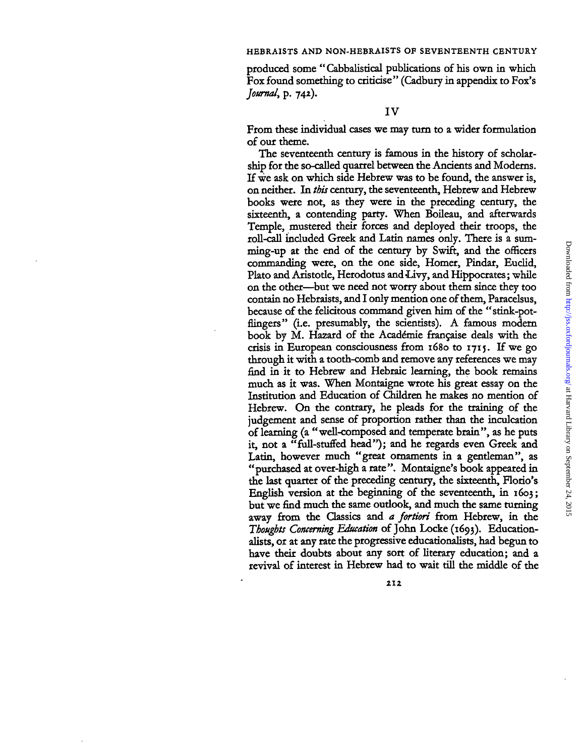produced some "Cabbalistical publications of his own in which Fox found something to criticise" (Cadbury in appendix to Fox's *Journal,* p. 742).

From these individual cases we may turn to a wider formulation of our theme.

The seventeenth century is famous in the history of scholarship for the so-called quarrel between the Ancients and Modems. If we ask on which side Hebrew was to be found, the answer is, on neither. In *this* century, the seventeenth, Hebrew and Hebrew books were not, as they were in the preceding century, the sixteenth, a contending party. When Boileau, and afterwards Temple, mustered their forces and deployed their troops, the roll-call included Greek and Latin names only. There is a summing-up at the end of the century by Swift, and the officers commanding were, on the one side, Homer, Pindar, Euclid, Plato and Aristotle, Herodotus and Livy, and Hippocrates; while on the other—but we need not worry about them since they too contain no Hebraists, and I only mention one of them, Paracelsus, because of the felicitous command given him of the "stink-potflingers" (i.e. presumably, the scientists). A famous modern book by M. Hazard of the Académie française deals with the crisis in European consciousness from 1680 to 1715. If we go through it with a tooth-comb and remove any references we may find in it to Hebrew and Hebraic learning, the book remains much as it was. When Montaigne wrote his great essay on the Institution and Education of Children he makes no mention of Hebrew. On the contrary, he pleads for the training of the judgement and sense of proportion rather than the inculcation of learning (a "well-composed and temperate brain", as he puts it, not a "full-stuffed head"); and he regards even Greek and Latin, however much "great ornaments in a gentleman", as "purchased at over-high a rate". Montaigne's book appeared in the last quarter of the preceding century, the sixteenth, Florio's English version at the beginning of the seventeenth, in 1603; but we find much the same outlook, and much the same turning away from the Classics and *a fortiori* from Hebrew, in the *Thoughts Concerning Education* of John Locke (1693). Educationalists, or at any rate the progressive educationalists, had begun to have their doubts about any sort of literary education; and a revival of interest in Hebrew had to wait till the middle of the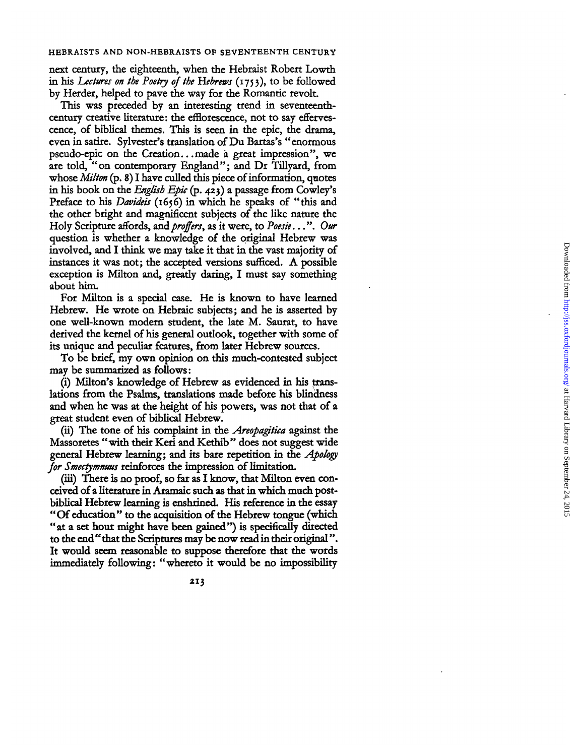nex t century , th e eighteenth , whe n th e Hebrais t Rober t Lowt h in his *Lectures on the Poetry of the Hebrews* (1753), to be followed b y Herder , helpe d t o pav e th e way fo r th e Romanti c revolt .

This was preceded by an interesting trend in seventeenthcentury creative literature: the efflorescence, not to say effervescence , o f biblica l themes . Thi s i s see n i n th e epic , th e drama , eve n i n satire . Sylvester' s translatio n o f D u Bartas' s "enormou s pseudo-epic on the Creation...made a great impression", we are told, "on contemporary England"; and Dr Tillyard, from whose *Milton* (p. 8) I have culled this piece of information, quotes in his book on the *English Epic* (p. 423) a passage from Cowley's Preface to his *Davideis* (1656) in which he speaks of "this and the other bright and magnificent subjects of the like nature the Hol y Scriptur e affords , *and proffers,* a s i t were , t o *Poesie...*". *Our* question is whether a knowledge of the original Hebrew was involved, and I think we may take it that in the vast majority of instances it was not: the accepted versions sufficed. A possible exception is Milton and, greatly daring. I must say something abou t him .

For Milton is a special case. He is known to have learned Hebrew. He wrote on Hebraic subjects; and he is asserted by on e well-know n moder n student , th e lat e M . Saurat , t o hav e derived the kernel of his general outlook, together with some of its unique and peculiar features, from later Hebrew sources.

To be brief, my own opinion on this much-contested subject may b e summarize d a s follows :

(i) Milton's knowledge of Hebrew as evidenced in his translation s fro m th e Psalms , translation s mad e befor e hi s blindnes s and when he was at the height of his powers, was not that of a grea t studen t eve n o f biblica l Hebrew .

(ii) The tone of his complaint in the *Areopagitica* against the Massoretes "with their Keri and Kethib" does not suggest wide genera l Hebre w learning ; an d it s bar e repetitio n i n th e *Apology* for *Smectymnuus* reinforces the impression of limitation.

(iii) There is no proof, so far as I know, that Milton even conceive d o f a literatur e i n Aramai c suc h a s tha t i n whic h muc h post biblica l Hebre w learnin g i s enshrined . Hi s referenc e i n th e essay "Of education" to the acquisition of the Hebrew tongue (which "at a set hour might have been gained") is specifically directed to the end "that the Scriptures may be now read in their original". It would seem reasonable to suppose therefore that the words immediately following: "whereto it would be no impossibility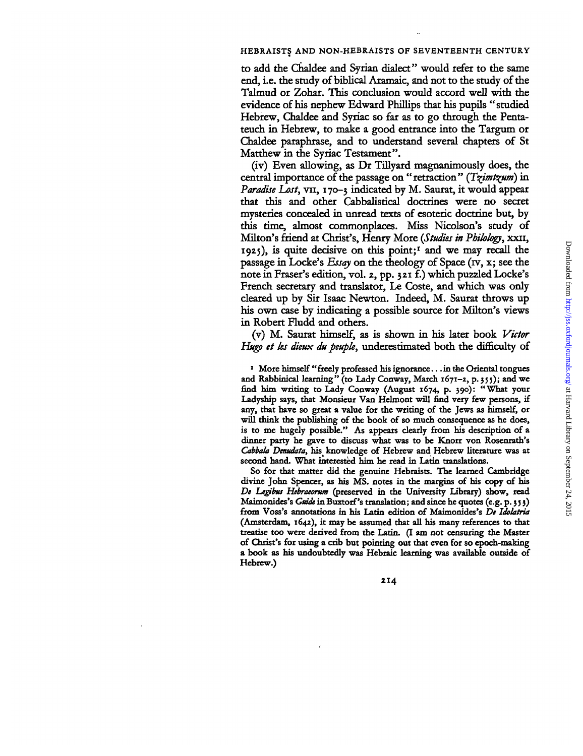to add the Chaldee and Syrian dialect" would refer to the same end, i.e. the study of biblical Aramaic, and not to the study of the Talmud or Zohar. This conclusion would accord well with the evidence of his nephew Edward Phillips that his pupils "studied Hebrew, Chaldee and Syriac so far as to go through the Pentateuch in Hebrew, to make a good entrance into the Targum or Chaldee paraphrase, and to understand several chapters of St Matthew in the Syriac Testament".

(iv) Even allowing, as Dr Tillyard magnanimously does, the central importance of the passage on "retraction" *(T^imt^um)* in *Paradise Lost,* vn, 170-3 indicated by M. Saurat, it would appear that this and other Cabbalistical doctrines were no secret mysteries concealed in unread texts of esoteric doctrine but, by this time, almost commonplaces. Miss Nicolson's study of Milton's friend at Christ's, Henry More *{Studies in Philology,* XXII, 1925), is quite decisive on this point;<sup>1</sup> and we may recall the passage in Locke's *Essay* on the theology of Space (rv, x; see the note in Eraser's edition, vol. 2, pp. 321 f.) which puzzled Locke's French secretary and translator, Le Coste, and which was only cleared up by Sir Isaac Newton. Indeed, M. Saurat throws up his own case by indicating a possible source for Milton's views in Robert Fludd and others.

(v) M. Saurat himself, as is shown in his later book *Victor Hugo et ks dieux du peupk,* underestimated both the difficulty of

**1 More himself "freely professed his ignorance... in the Oriental tongues and Rabbinical learning" (to Lady Conway, March 1671-2, p. 355); and we find him writing to Lady Conway (August 1674, p. 390): "What your Ladyship says, that Monsieur Van Helmont will find very few persons, if any, that have so great a value for the writing of the Jews as himself, or will think the publishing of the book of so much consequence as he does, is to me hugely possible." As appears clearly from bis description of a dinner party he gave to discuss what was to be Knorr von Rosenrath's** *Cabbala Denudata*, his knowledge of Hebrew and Hebrew literature was at **second band. What interested him he read in Latin translations.**

**So for that matter did the genuine Hebraists. The learned Cambridge divine John Spencer, as his MS. notes in the margins of his copy of his** *De Legbus Hebratorum* **(preserved in the University Library) show, read Maimonides's** *Guide* **in Buxtorf's translation; and since he quotes (e.g. p. 3 5 3) from Voss's annotations in his Latin edition of Maimonides's** *De Idolatria* **(Amsterdam, 1642), it may be assumed that all his many references to that treatise too were derived from the Latin. (I am not censuring the Master of Christ's for using a crib but pointing out that even for so epoch-making a book as his undoubtedly was Hebraic learning was available outside of Hebrew.)**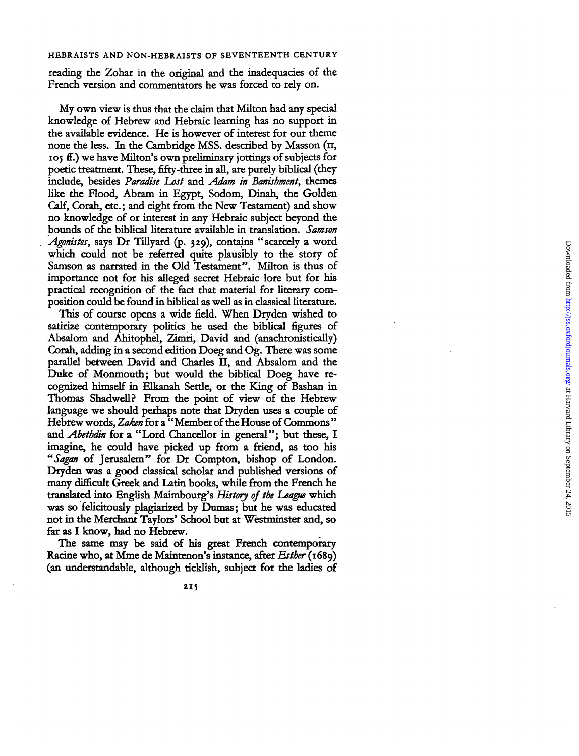reading the Zohar in the original and the inadequacies of the French version and commentators he was forced to rely on.

M y ow n vie w i s thu s tha t th e clai m tha t Milto n ha d an y special knowledg e o f Hebre w an d Hebrai c learnin g ha s n o suppor t i n the available evidence. He is however of interest for our theme none the less. In the Cambridge MSS. described by Masson (II, If the same successive of the subset of the subjects for poetic treatment. These, fifty-three in all, are purely biblical (they include, besides Paradise Lost and Adam in Banishment, themes like the Flood, Abram in Egypt, Sodom, Dinah, the Golden Calf, Corah, etc.; and eight from the New Testament) and show n o knowledg e o f o r interes t i n an y Hebrai c subjec t beyon d th e bound s o f th e biblica l literatur e availabl e i n translation . *Samson Agonistes,* says Dr Tillyard (p. 329), contains "scarcely a word which could not be referred quite plausibly to the story of Samson as narrated in the Old Testament". Milton is thus of e importance not for his alleged secret Hebraic lore but for his practical recognition of the fact that material for literary comn<br>position could be found in biblical as well as in classical literature.

Thi s o f cours e open s a wid e field. Whe n Dryde n wishe d t o satirize contemporary politics he used the biblical figures of Absalom and Ahitophel, Zimri, David and (anachronistically) Corah , addin g i n a secon d editio n Doe g an d Og . Ther e wa s som e parallel between David and Charles II, and Absalom and the Duke of Monmouth; but would the biblical Doeg have recognize d himsel f i n Elkana h Settle , o r th e Kin g o f Bashan i n Thomas Shadwell? From the point of view of the Hebrew language we should perhaps note that Dryden uses a couple of Hebrew words, Zaken for a "Member of the House of Commons" and *Abethdin* for a "Lord Chancellor in general"; but these, I imagine, he could have picked up from a friend, as too his "Sagan of Jerusalem" for Dr Compton, bishop of London. Dryden was a good classical scholar and published versions of man y difficult Gree k an d Lati n books , whil e fro m th e Frenc h h e translate d int o Englis h Maimbourg' s *History of the League* whic was so felicitously plagiarized by Dumas: but he was educated not in the Merchant Taylors' School but at Westminster and, so far a s I know , ha d n o Hebrew .

Th e sam e may b e sai d o f hi s grea t Frenc h contemporar y Racine who, at Mme de Maintenon's instance, after *Esther* (1689) (an understandable , althoug h ticklish , subjec t fo r th e ladie s o f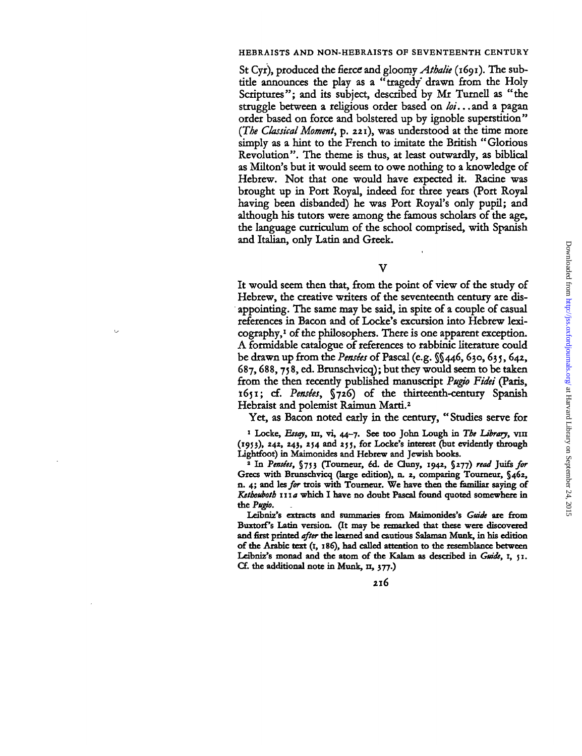St Cyr), produced the fierce and gloomy *Athalie* (1691). The subtitle announces the play as a "tragedy drawn from the Holy Scriptures"; and its subject, described by Mr Tumell as "the struggle between a religious order based on *lot.*. .and a pagan order based on force and bolstered up by ignoble superstition" *(The Classical Moment,* p. 221), was understood at the time more simply as a hint to the French to imitate the British "Glorious Revolution". The theme is thus, at least outwardly, as biblical as Milton's but it would seem to owe nothing to a knowledge of Hebrew. Not that one would have expected it. Racine was brought up in Port Royal, indeed for three years (Port Royal having been disbanded) he was Port Royal's only pupil; and although his tutors were among the famous scholars of the age, the language curriculum of the school comprised, with Spanish and Italian, only Latin and Greek.

 $\overline{\mathbf{V}}$ 

It would seem then that, from the point of view of the study of Hebrew, the creative writers of the seventeenth century are disappointing. The same may be said, in spite of a couple of casual references in Bacon and of Locke's excursion into Hebrew lexicography,<sup>1</sup> of the philosophers. There is one apparent exception. A formidable catalogue of references to rabbinic literature could be drawn up from the *Pensees* of Pascal (e.g. §§446, 630,635, 642, 687,688, 75 8, ed. Brunschvicq); but they would seem to be taken from the then recently published manuscript *Pugio Fidei* (Paris, 1651; cf. *Pensies,* §726) of the thirteenth-century Spanish Hebraist and polemist Raimun Marti.<sup>2</sup>

Yet, as Bacon noted early in the century, " Studies serve for

**1 Locke,** *Essay,* **m, vi, 44-7. See too John Lough in** *The Library,* **vin (1953), 242, 243, 254 and 255, for Locke's interest (but evidently through Lightfoot) in Maimonides and Hebrew and Jewish books.**

**2 In** *Pensles,* **§753 (Toumeur,** *&&.* **de Cluny, 1942, §277)** *read* **Juife** *for* **Grecs with Brunschvicq (large edition), n. 2, comparing Tourneur, §462, n. 4; and** *lesfor* **trois with Toumeur. We have then the familiar saying of** *Ketboubotb ma* **which I have no doubt Pascal found quoted somewhere in the** *Puffo.*

**Leibniz's extracts and summaries from Maimonides's** *Guide* **are from BuxtorPs Latin version. (It may be remarked that these were discovered and first printed** *after* **the learned and cautious Salaman Munk, in his edition of the Arabic text (1, 186), had called attention to the resemblance between Leibniz's monad and the atom of the Kalam as described in** *Guide,* **1, 51. Cf. the additional note in Munk, n, 377.)**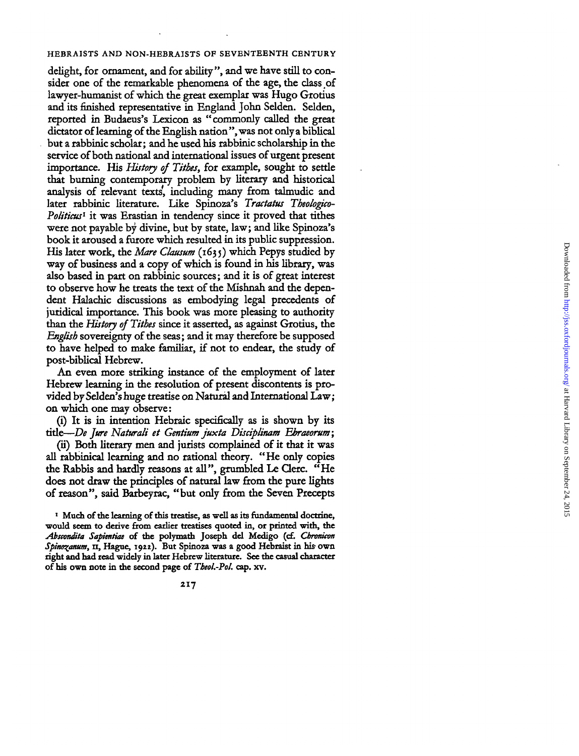delight, for ornament, and for ability", and we have still to consider one of the remarkable phenomena of the age, the class of lawyer-humanist of which the great exemplar was Hugo Grotius and its finished representative in England John Selden. Selden, reporte d i n Budaeus' s Lexico n a s "commonl y calle d th e grea t dictato r o f learnin g o f th e Englis h nation" , wa s no t onl y a biblica l bu t a rabbini c scholar ; an d h e use d hi s rabbini c scholarshi p i n th e servic e o f bot h nationa l an d internationa l issue s o f urgen t presen t importance. His History of Tithes, for example, sought to settle tha t burnin g contemporar y proble m b y literar y an d historica l analysi s o f relevan t texts' , includin g man y fro m talmudi c an d late r rabbini c literature . Lik e Spinoza' s *Tractatus Theologico-*Politicus<sup>1</sup> it was Erastian in tendency since it proved that tithes wer e no t payabl e b y divine , bu t b y state , law ; an d lik e Spinoza' s boo k i t arouse d a furor e whic h resulte d i n it s publi c suppression . His later work, the *Mare Clausum* (1635) which Pepys studied by way o f busines s an d a cop y o f whic h i s foun d i n hi s library , wa s als o base d i n par t o n rabbini c sources ; an d i t i s o f grea t interes t t o observ e ho w h e treat s th e tex t o f th e Mishna h an d th e depen den t Halachi c discussion s a s embodyin g lega l precedent s o f juridica l importance . Thi s boo k wa s mor e pleasin g t o authorit y than the *History of Tithes* since it asserted, as against Grotius, the English sovereignty of the seas; and it may therefore be supposed t o hav e helpe d t o mak e familiar , i f no t t o endear , th e stud y o f post-biblica l Hebrew .

A n eve n mor e strikin g instanc e o f th e employmen t o f late r Hebre w learnin g i n th e resolutio n o f presen t discontent s i s pro vide d b y Selden' s hug e treatis e o n Natura l an d Internationa l Law ; o n whic h on e may observe :

(i) It is in intention Hebraic specifically as is shown by its title—*De Jure Naturali et Gentium juxta Disciplinam Ebraeorum*;

(ii) Both literary men and jurists complained of it that it was all rabbinical learning and no rational theory. "He only copies the Rabbis and hardly reasons at all", grumbled Le Clerc. "He does not draw the principles of natural law from the pure lights o f reason" , sai d Barbeyrac , "bu t onl y fro m th e Seve n Precept s

<sup>1</sup> Much of the learning of this treatise, as well as its fundamental doctrine, would seem to derive from earlier treatises quoted in, or printed with, the Abscondita Sapientiae of the polymath Joseph del Medigo (cf. *Chronicon* Spinozanum, **11**, Hague, 1922). But Spinoza was a good Hebraist in his own **right an d ha d read widel y i n late r Hebre w literature . Se e th e casual characte r** of his own note in the second page of Theol.-Pol. cap. xv.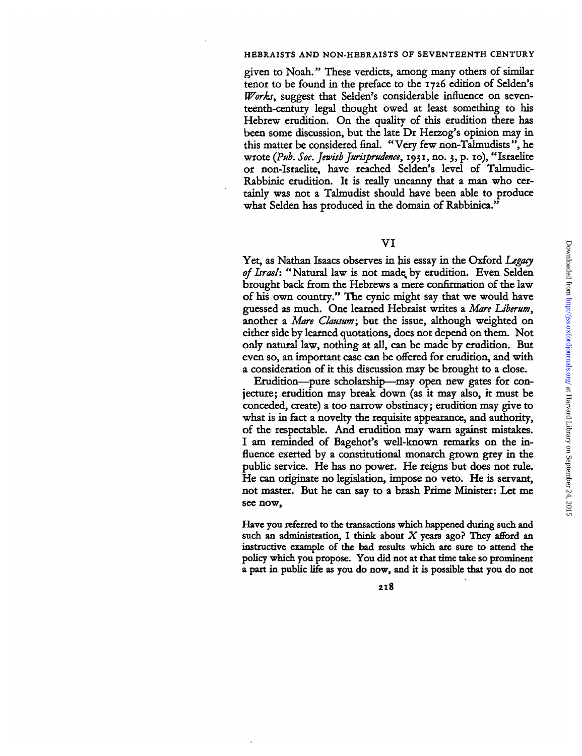given to Noah." These verdicts, among many others of similar tenor to be found in the preface to the 1726 edition of Selden's *Works,* suggest that Selden's considerable influence on seventeenth-century legal thought owed at least something to his Hebrew erudition. On the quality of this erudition there has been some discussion, but the late Dr Herzog's opinion may in this matter be considered final. "Very few non-Talmudists", he wrote *(Pub. Soc. Jewish Jurisprudence,* 1931, no. 3, p. 10), "Israelite or non-Israelite, have reached Selden's level of Talmudic-Rabbinic erudition. It is really uncanny that a man who certainly was not a Talmudist should have been able to produce what Selden has produced in the domain of Rabbinica."

## VI

Yet, as Nathan Isaacs observes in his essay in the Oxford *Legacy of Israel:* "Natural law is not made, by erudition. Even Selden brought back from the Hebrews a mere confirmation of the law of his own country." The cynic might say that we would have guessed as much. One learned Hebraist writes a *Mare Uberum,* another a *Mare Clausum;* but the issue, although weighted on either side by learned quotations, does not depend on them. Not only natural law, nothing at all, can be made by erudition. But even so, an important case can be offered for erudition, and with a consideration of it this discussion may be brought to a close.

Erudition—pure scholarship—may open new gates for conjecture; erudition may break down (as it may also, it must be conceded, create) a too narrow obstinacy; erudition may give to what is in fact a novelty the requisite appearance, and authority, of the respectable. And erudition may warn against mistakes. I am reminded of Bagehot's well-known remarks on the influence exerted by a constitutional monarch grown grey in the public service. He has no power. He reigns but does not rule. He can originate no legislation, impose no veto. He is servant, not master. But he can say to a brash Prime Minister: Let me see now,

Have you referred to the transactions which happened during such and such an administration, I think about *X* years ago? They afford an instructive example of the bad results which are sure to attend the policy which you propose. You did not at that time take so prominent a part in public life as you do now, and it is possible that you do not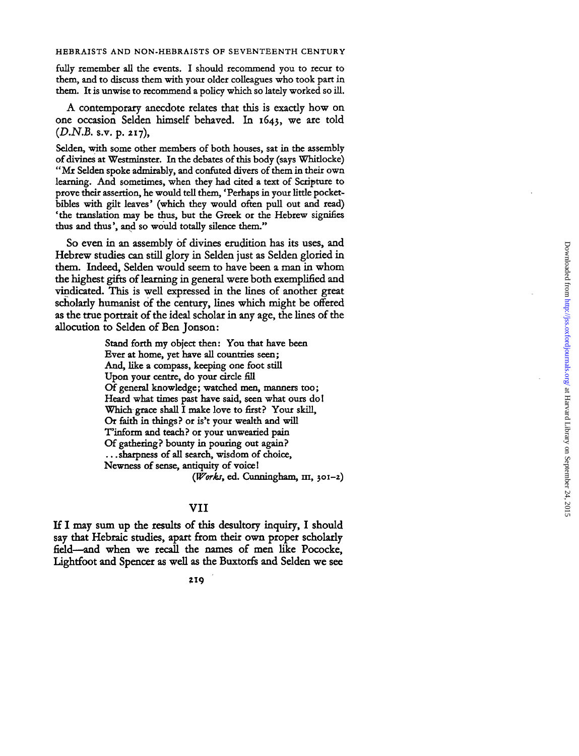fully remember all the events. I should recommend you to recur to them, and to discuss them with your older colleagues who took part in them. It is unwise to recommend a policy which so lately worked so ill.

A contemporar y anecdot e relate s tha t thi s i s exactl y ho w o n on e occasio n Selde n himsel f behaved . I n 1643 , w e ar e tol d (D.N.B. s.v. p. 217),

Selden, with some other members of both houses, sat in the assembly o f divine s a t Westminster . I n th e debate s o f thi s bod y (say s Whidocke ) "Mr Selden spoke admirably, and confuted divers of them in their own learning. And sometimes, when they had cited a text of Scripture to prove their assertion, he would tell them, 'Perhaps in your little pocketbibles with gilt leaves' (which they would often pull out and read) 'the translation may be thus, but the Greek or the Hebrew signifies thus and thus', and so would totally silence them."

S o eve n i n a n assembl y o f divine s eruditio n ha s it s uses , an d Hebre w studie s ca n stil l glor y i n Selde n jus t a s Selde n glorie d i n them. Indeed, Selden would seem to have been a man in whom th e highes t gift s o f learnin g i n genera l wer e bot h exemplifie d an d vindicated. This is well expressed in the lines of another great scholarl y humanis t o f th e century , line s whic h migh t b e offered as the true portrait of the ideal scholar in any age, the lines of the allocution to Selden of Ben Jonson:

> Stan d fort h my objec t then : Yo u tha t hav e bee n Ever at home, yet have all countries seen; And, like a compass, keeping one foot still Upon your centre, do your circle fill Of general knowledge; watched men, manners too; Heard what times past have said, seen what ours do! Which grace shall I make love to first? Your skill, Or faith in things? or is't your wealth and will T'inform and teach? or your unwearied pain Of gathering? bounty in pouring out again? ... sharpness of all search, wisdom of choice, Newness of sense, antiquity of voice! (*Works*, ed. Cunningham, III, 301-2)

## VI I

I f I may su m u p th e result s o f thi s desultor y inquiry , I shoul d say tha t Hebrai c studies , apar t from thei r ow n prope r scholarl y field-and when we recall the names of men like Pococke, Lightfoo t an d Spence r a s wel l a s th e Buxtorfs an d Selde n w e se e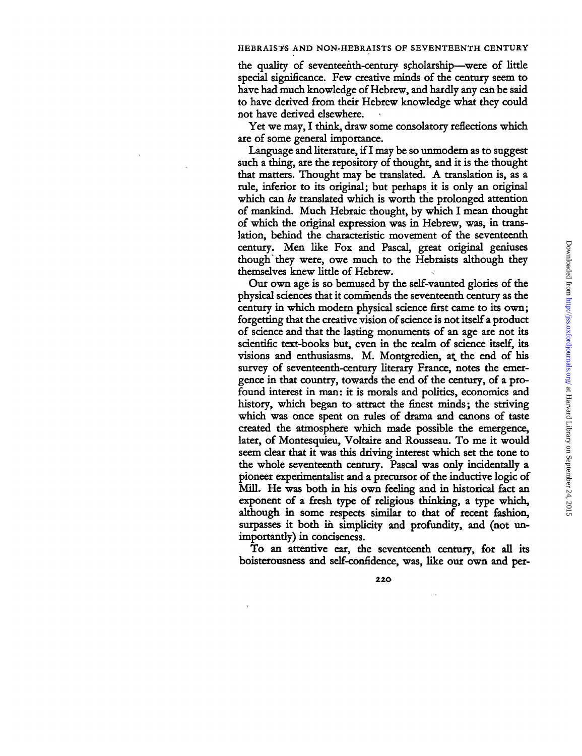the quality of seventeenth-century scholarship—were of little special significance. Few creative minds of the century seem to have had much knowledge of Hebrew, and hardly any can be said to have derived from their Hebrew knowledge what they could not have derived elsewhere.

Yet we may, I think, draw some consolatory reflections which are of some general importance.

Language and literature, if I may be so unmodem as to suggest such a thing, are the repository of thought, and it is the thought that matters. Thought may be translated. A translation is, as a rule, inferior to its original; but perhaps it is only an original which can *be* translated which is worth the prolonged attention of mankind. Much Hebraic thought, by which I mean thought of which the original expression was in Hebrew, was, in translation, behind the characteristic movement of the seventeenth century. Men like Fox and Pascal, great original geniuses though they were, owe much to the Hebraists although they themselves knew little of Hebrew.

Our own age is so bemused by the self-vaunted glories of the physical sciences that it commends the seventeenth century as the century in which modem physical science first came to its own; forgetting that the creative vision of science is not itself a product of science and that the lasting monuments of an age are not its scientific text-books but, even in the realm of science itself, its visions and enthusiasms. M. Montgredien, at the end of his survey of seventeenth-century literary France, notes the emergence in that country, towards the end of the century, of a profound interest in man: it is morals and politics, economics and history, which began to attract the finest minds; the striving which was once spent on rules of drama and canons of taste created the atmosphere which made possible the emergence, later, of Montesquieu, Voltaire and Rousseau. To me it would seem clear that it was this driving interest which set the tone to the whole seventeenth century. Pascal was only incidentally a pioneer experimentalist and a precursor of the inductive logic of Mill. He was both in his own feeling and in historical fact an exponent of a fresh type of religious thinking, a type which, although in some respects similar to that of recent fashion, surpasses it both in simplicity and profundity, and (not unimportantly) in conciseness.

To an attentive ear, the seventeenth century, for all its boisterousness and self-confidence, was, like our own and per-